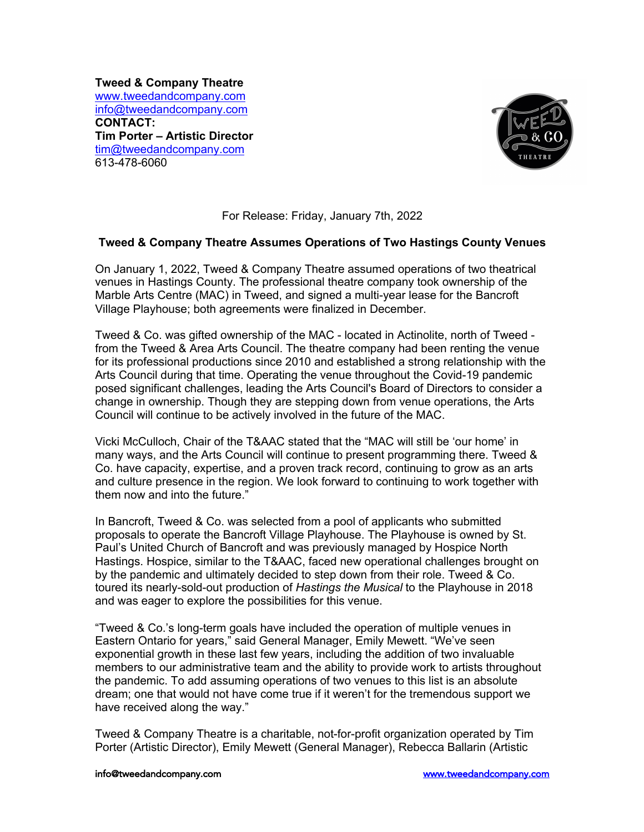**Tweed & Company Theatre** www.tweedandcompany.com info@tweedandcompany.com **CONTACT: Tim Porter – Artistic Director** tim@tweedandcompany.com 613-478-6060



## For Release: Friday, January 7th, 2022

## **Tweed & Company Theatre Assumes Operations of Two Hastings County Venues**

On January 1, 2022, Tweed & Company Theatre assumed operations of two theatrical venues in Hastings County. The professional theatre company took ownership of the Marble Arts Centre (MAC) in Tweed, and signed a multi-year lease for the Bancroft Village Playhouse; both agreements were finalized in December.

Tweed & Co. was gifted ownership of the MAC - located in Actinolite, north of Tweed from the Tweed & Area Arts Council. The theatre company had been renting the venue for its professional productions since 2010 and established a strong relationship with the Arts Council during that time. Operating the venue throughout the Covid-19 pandemic posed significant challenges, leading the Arts Council's Board of Directors to consider a change in ownership. Though they are stepping down from venue operations, the Arts Council will continue to be actively involved in the future of the MAC.

Vicki McCulloch, Chair of the T&AAC stated that the "MAC will still be 'our home' in many ways, and the Arts Council will continue to present programming there. Tweed & Co. have capacity, expertise, and a proven track record, continuing to grow as an arts and culture presence in the region. We look forward to continuing to work together with them now and into the future."

In Bancroft, Tweed & Co. was selected from a pool of applicants who submitted proposals to operate the Bancroft Village Playhouse. The Playhouse is owned by St. Paul's United Church of Bancroft and was previously managed by Hospice North Hastings. Hospice, similar to the T&AAC, faced new operational challenges brought on by the pandemic and ultimately decided to step down from their role. Tweed & Co. toured its nearly-sold-out production of *Hastings the Musical* to the Playhouse in 2018 and was eager to explore the possibilities for this venue.

"Tweed & Co.'s long-term goals have included the operation of multiple venues in Eastern Ontario for years," said General Manager, Emily Mewett. "We've seen exponential growth in these last few years, including the addition of two invaluable members to our administrative team and the ability to provide work to artists throughout the pandemic. To add assuming operations of two venues to this list is an absolute dream; one that would not have come true if it weren't for the tremendous support we have received along the way."

Tweed & Company Theatre is a charitable, not-for-profit organization operated by Tim Porter (Artistic Director), Emily Mewett (General Manager), Rebecca Ballarin (Artistic